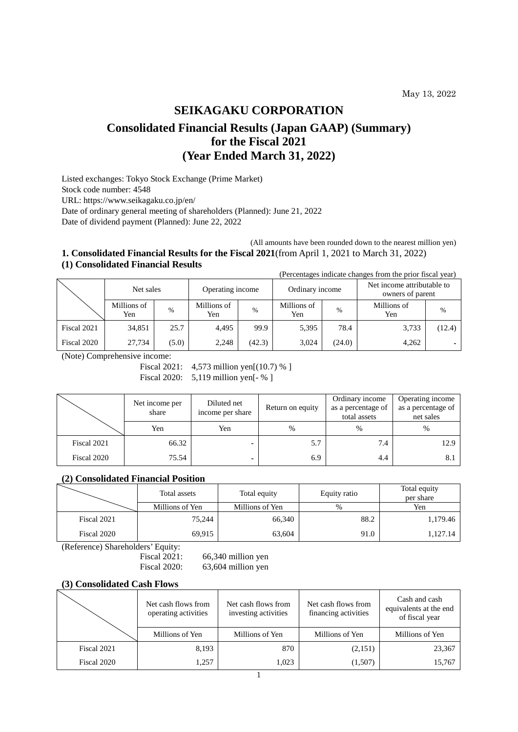# **SEIKAGAKU CORPORATION Consolidated Financial Results (Japan GAAP) (Summary) for the Fiscal 2021 (Year Ended March 31, 2022)**

Listed exchanges: Tokyo Stock Exchange (Prime Market) Stock code number: 4548 URL: https://www.seikagaku.co.jp/en/ Date of ordinary general meeting of shareholders (Planned): June 21, 2022

Date of dividend payment (Planned): June 22, 2022

# (All amounts have been rounded down to the nearest million yen) **1. Consolidated Financial Results for the Fiscal 2021**(from April 1, 2021 to March 31, 2022) **(1) Consolidated Financial Results**

(Percentages indicate changes from the prior fiscal year)

|             | Net sales          |       | Operating income   |        | Ordinary income    |        | Net income attributable to<br>owners of parent |        |
|-------------|--------------------|-------|--------------------|--------|--------------------|--------|------------------------------------------------|--------|
|             | Millions of<br>Yen | $\%$  | Millions of<br>Yen | $\%$   | Millions of<br>Yen | $\%$   | Millions of<br>Yen                             | $\%$   |
| Fiscal 2021 | 34.851             | 25.7  | 4.495              | 99.9   | 5,395              | 78.4   | 3,733                                          | (12.4) |
| Fiscal 2020 | 27.734             | (5.0) | 2,248              | (42.3) | 3,024              | (24.0) | 4,262                                          | ۰.     |

(Note) Comprehensive income:

Fiscal 2021: 4,573 million yen<sup>[(10.7)</sup> %

Fiscal 2020: 5,119 million yen<sup>[- %]</sup>

|             | Net income per<br>share | Diluted net<br>income per share | Return on equity | Ordinary income<br>as a percentage of<br>total assets | Operating income<br>as a percentage of<br>net sales |
|-------------|-------------------------|---------------------------------|------------------|-------------------------------------------------------|-----------------------------------------------------|
|             | Yen                     | Yen                             | $\%$             | $\%$                                                  | $\%$                                                |
| Fiscal 2021 | 66.32                   |                                 | 5.7              | 7.4                                                   | 12.9                                                |
| Fiscal 2020 | 75.54                   |                                 | 6.9              | 4.4                                                   |                                                     |

# **(2) Consolidated Financial Position**

|             | Total assets    | Total equity    | Equity ratio | Total equity<br>per share |
|-------------|-----------------|-----------------|--------------|---------------------------|
|             | Millions of Yen | Millions of Yen | $\%$         | Yen                       |
| Fiscal 2021 | 75.244          | 66,340          | 88.2         | 1,179.46                  |
| Fiscal 2020 | 69,915          | 63,604          | 91.0         | 1,127.14                  |

(Reference) Shareholders' Equity:

Fiscal 2021: 66,340 million yen<br>Fiscal 2020: 63,604 million yen 63,604 million yen

## **(3) Consolidated Cash Flows**

|             | Net cash flows from<br>operating activities | Net cash flows from<br>investing activities | Net cash flows from<br>financing activities | Cash and cash<br>equivalents at the end<br>of fiscal year |
|-------------|---------------------------------------------|---------------------------------------------|---------------------------------------------|-----------------------------------------------------------|
|             | Millions of Yen                             | Millions of Yen                             | Millions of Yen                             | Millions of Yen                                           |
| Fiscal 2021 | 8,193                                       | 870                                         | (2,151)                                     | 23,367                                                    |
| Fiscal 2020 | 1,257                                       | 1,023                                       | (1,507)                                     | 15,767                                                    |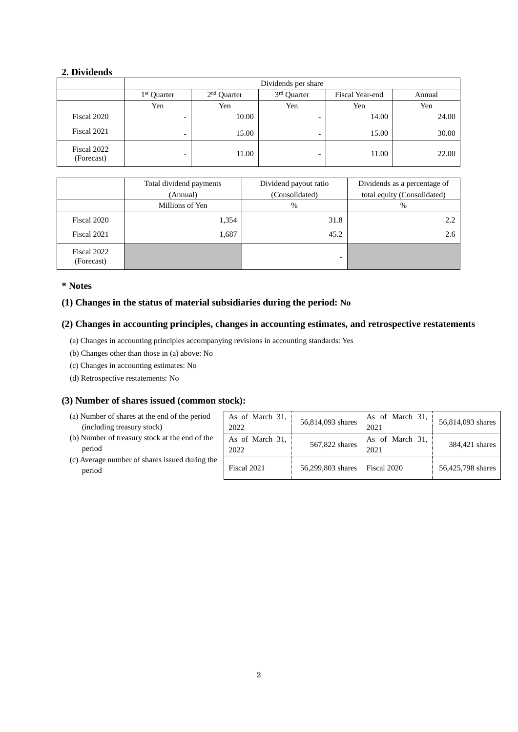# **2. Dividends**

|                           | Dividends per share     |               |                          |                 |        |  |
|---------------------------|-------------------------|---------------|--------------------------|-----------------|--------|--|
|                           | 1 <sup>st</sup> Ouarter | $2nd$ Ouarter | 3rd Quarter              | Fiscal Year-end | Annual |  |
|                           | Yen                     | Yen           | Yen                      | Yen             | Yen    |  |
| Fiscal 2020               |                         | 10.00         | -                        | 14.00           | 24.00  |  |
| Fiscal 2021               | -                       | 15.00         | $\blacksquare$           | 15.00           | 30.00  |  |
| Fiscal 2022<br>(Forecast) |                         | 11.00         | $\overline{\phantom{0}}$ | 11.00           | 22.00  |  |

|                           | Total dividend payments | Dividend payout ratio | Dividends as a percentage of |  |
|---------------------------|-------------------------|-----------------------|------------------------------|--|
|                           | (Annual)                | (Consolidated)        | total equity (Consolidated)  |  |
|                           | Millions of Yen         | %                     | %                            |  |
| Fiscal 2020               | 1,354                   | 31.8                  | 2.2                          |  |
| Fiscal 2021               | 1,687                   | 45.2                  | 2.6                          |  |
| Fiscal 2022<br>(Forecast) |                         |                       |                              |  |

# **\* Notes**

# **(1) Changes in the status of material subsidiaries during the period: No**

# **(2) Changes in accounting principles, changes in accounting estimates, and retrospective restatements**

- (a) Changes in accounting principles accompanying revisions in accounting standards: Yes
- (b) Changes other than those in (a) above: No
- (c) Changes in accounting estimates: No
- (d) Retrospective restatements: No

# **(3) Number of shares issued (common stock):**

- (a) Number of shares at the end of the period (including treasury stock)
- (b) Number of treasury stock at the end of the period
- (c) Average number of shares issued during period

| d   | As of March 31,<br>2022 | 56,814,093 shares | As of March 31,<br>2021 | 56,814,093 shares |
|-----|-------------------------|-------------------|-------------------------|-------------------|
| he  | As of March 31,<br>2022 | 567,822 shares    | As of March 31,<br>2021 | 384,421 shares    |
| the | Fiscal 2021             | 56,299,803 shares | Fiscal 2020             | 56,425,798 shares |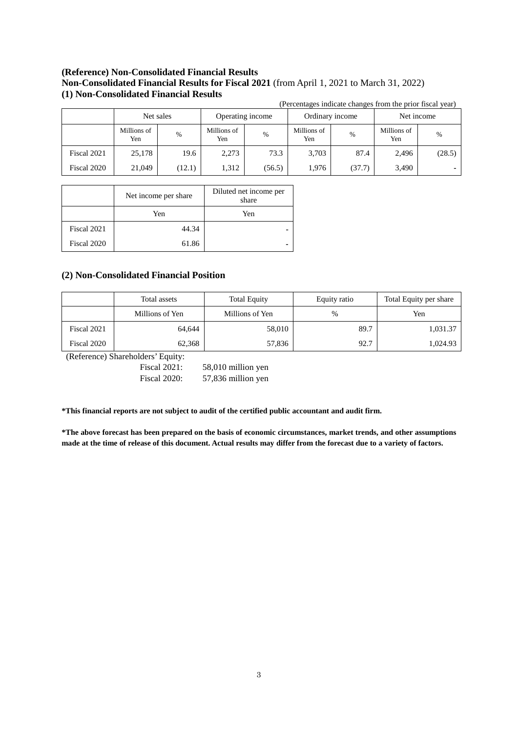# **(Reference) Non-Consolidated Financial Results Non-Consolidated Financial Results for Fiscal 2021** (from April 1, 2021 to March 31, 2022) **(1) Non-Consolidated Financial Results**

|             | (Percentages indicate changes from the prior fiscal year) |           |                    |                  |                    |                 |                    |            |  |
|-------------|-----------------------------------------------------------|-----------|--------------------|------------------|--------------------|-----------------|--------------------|------------|--|
|             |                                                           | Net sales |                    | Operating income |                    | Ordinary income |                    | Net income |  |
|             | Millions of<br>Yen                                        | $\%$      | Millions of<br>Yen | $\%$             | Millions of<br>Yen | $\%$            | Millions of<br>Yen | $\%$       |  |
| Fiscal 2021 | 25,178                                                    | 19.6      | 2,273              | 73.3             | 3,703              | 87.4            | 2,496              | (28.5)     |  |
| Fiscal 2020 | 21,049                                                    | (12.1)    | 1,312              | (56.5)           | 1,976              | (37.7)          | 3,490              |            |  |

|             | Net income per share | Diluted net income per<br>share |
|-------------|----------------------|---------------------------------|
|             | Yen                  | Yen                             |
| Fiscal 2021 | 44.34                |                                 |
| Fiscal 2020 | 61.86                | -                               |

# **(2) Non-Consolidated Financial Position**

|             | Total assets    | <b>Total Equity</b> | Equity ratio | Total Equity per share |
|-------------|-----------------|---------------------|--------------|------------------------|
|             | Millions of Yen | Millions of Yen     | %            | Yen                    |
| Fiscal 2021 | 64.644          | 58,010              | 89.7         | 1,031.37               |
| Fiscal 2020 | 62,368          | 57,836              | 92.7         | 1,024.93               |

(Reference) Shareholders' Equity:

Fiscal 2021: 58,010 million yen

Fiscal 2020: 57,836 million yen

**\*This financial reports are not subject to audit of the certified public accountant and audit firm.** 

**\*The above forecast has been prepared on the basis of economic circumstances, market trends, and other assumptions made at the time of release of this document. Actual results may differ from the forecast due to a variety of factors.**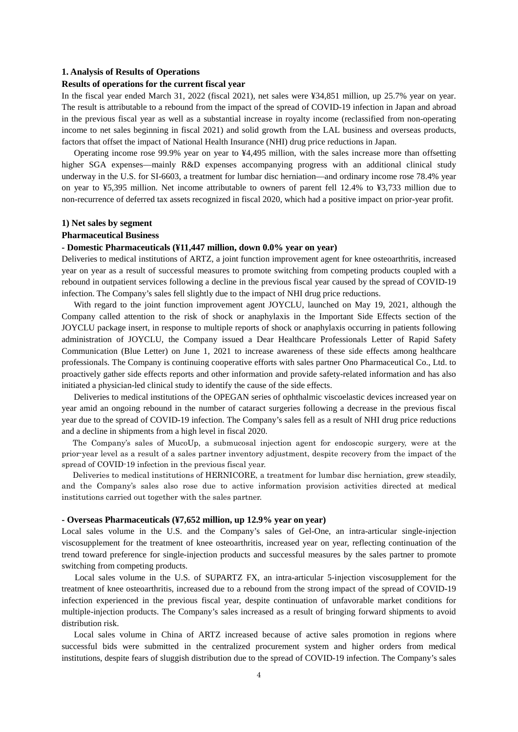#### **1. Analysis of Results of Operations**

#### **Results of operations for the current fiscal year**

In the fiscal year ended March 31, 2022 (fiscal 2021), net sales were ¥34,851 million, up 25.7% year on year. The result is attributable to a rebound from the impact of the spread of COVID-19 infection in Japan and abroad in the previous fiscal year as well as a substantial increase in royalty income (reclassified from non-operating income to net sales beginning in fiscal 2021) and solid growth from the LAL business and overseas products, factors that offset the impact of National Health Insurance (NHI) drug price reductions in Japan.

Operating income rose 99.9% year on year to ¥4,495 million, with the sales increase more than offsetting higher SGA expenses—mainly R&D expenses accompanying progress with an additional clinical study underway in the U.S. for SI-6603, a treatment for lumbar disc herniation—and ordinary income rose 78.4% year on year to ¥5,395 million. Net income attributable to owners of parent fell 12.4% to ¥3,733 million due to non-recurrence of deferred tax assets recognized in fiscal 2020, which had a positive impact on prior-year profit.

#### **1) Net sales by segment**

#### **Pharmaceutical Business**

# **- Domestic Pharmaceuticals (¥11,447 million, down 0.0% year on year)**

Deliveries to medical institutions of ARTZ, a joint function improvement agent for knee osteoarthritis, increased year on year as a result of successful measures to promote switching from competing products coupled with a rebound in outpatient services following a decline in the previous fiscal year caused by the spread of COVID-19 infection. The Company's sales fell slightly due to the impact of NHI drug price reductions.

With regard to the joint function improvement agent JOYCLU, launched on May 19, 2021, although the Company called attention to the risk of shock or anaphylaxis in the Important Side Effects section of the JOYCLU package insert, in response to multiple reports of shock or anaphylaxis occurring in patients following administration of JOYCLU, the Company issued a Dear Healthcare Professionals Letter of Rapid Safety Communication (Blue Letter) on June 1, 2021 to increase awareness of these side effects among healthcare professionals. The Company is continuing cooperative efforts with sales partner Ono Pharmaceutical Co., Ltd. to proactively gather side effects reports and other information and provide safety-related information and has also initiated a physician-led clinical study to identify the cause of the side effects.

Deliveries to medical institutions of the OPEGAN series of ophthalmic viscoelastic devices increased year on year amid an ongoing rebound in the number of cataract surgeries following a decrease in the previous fiscal year due to the spread of COVID-19 infection. The Company's sales fell as a result of NHI drug price reductions and a decline in shipments from a high level in fiscal 2020.

The Company's sales of MucoUp, a submucosal injection agent for endoscopic surgery, were at the prior-year level as a result of a sales partner inventory adjustment, despite recovery from the impact of the spread of COVID-19 infection in the previous fiscal year.

Deliveries to medical institutions of HERNICORE, a treatment for lumbar disc herniation, grew steadily, and the Company's sales also rose due to active information provision activities directed at medical institutions carried out together with the sales partner.

#### **- Overseas Pharmaceuticals (¥7,652 million, up 12.9% year on year)**

Local sales volume in the U.S. and the Company's sales of Gel-One, an intra-articular single-injection viscosupplement for the treatment of knee osteoarthritis, increased year on year, reflecting continuation of the trend toward preference for single-injection products and successful measures by the sales partner to promote switching from competing products.

Local sales volume in the U.S. of SUPARTZ FX, an intra-articular 5-injection viscosupplement for the treatment of knee osteoarthritis, increased due to a rebound from the strong impact of the spread of COVID-19 infection experienced in the previous fiscal year, despite continuation of unfavorable market conditions for multiple-injection products. The Company's sales increased as a result of bringing forward shipments to avoid distribution risk.

Local sales volume in China of ARTZ increased because of active sales promotion in regions where successful bids were submitted in the centralized procurement system and higher orders from medical institutions, despite fears of sluggish distribution due to the spread of COVID-19 infection. The Company's sales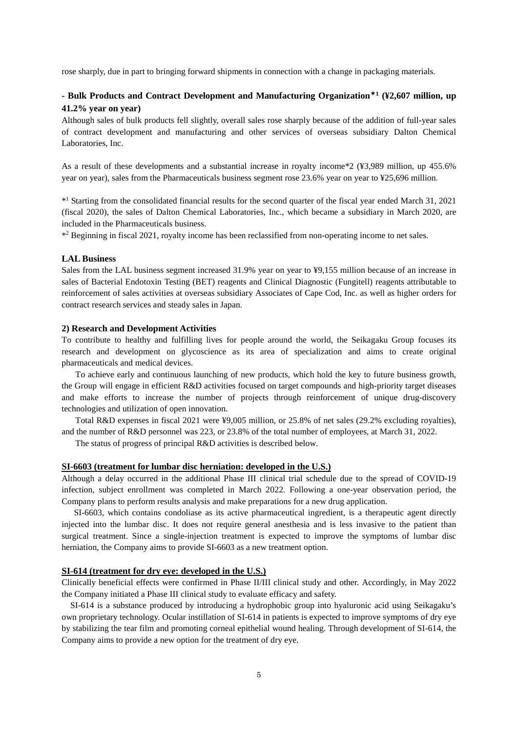rose sharply, due in part to bringing forward shipments in connection with a change in packaging materials.

# **- Bulk Products and Contract Development and Manufacturing Organization**\***<sup>1</sup> (¥2,607 million, up 41.2% year on year)**

Although sales of bulk products fell slightly, overall sales rose sharply because of the addition of full-year sales of contract development and manufacturing and other services of overseas subsidiary Dalton Chemical Laboratories, Inc.

As a result of these developments and a substantial increase in royalty income\*2 (¥3,989 million, up 455.6% year on year), sales from the Pharmaceuticals business segment rose 23.6% year on year to ¥25,696 million.

\*1 Starting from the consolidated financial results for the second quarter of the fiscal year ended March 31, 2021 (fiscal 2020), the sales of Dalton Chemical Laboratories, Inc., which became a subsidiary in March 2020, are included in the Pharmaceuticals business.

\*2 Beginning in fiscal 2021, royalty income has been reclassified from non-operating income to net sales.

#### **LAL Business**

Sales from the LAL business segment increased 31.9% year on year to ¥9,155 million because of an increase in sales of Bacterial Endotoxin Testing (BET) reagents and Clinical Diagnostic (Fungitell) reagents attributable to reinforcement of sales activities at overseas subsidiary Associates of Cape Cod, Inc. as well as higher orders for contract research services and steady sales in Japan.

### **2) Research and Development Activities**

To contribute to healthy and fulfilling lives for people around the world, the Seikagaku Group focuses its research and development on glycoscience as its area of specialization and aims to create original pharmaceuticals and medical devices.

To achieve early and continuous launching of new products, which hold the key to future business growth, the Group will engage in efficient R&D activities focused on target compounds and high-priority target diseases and make efforts to increase the number of projects through reinforcement of unique drug-discovery technologies and utilization of open innovation.

Total R&D expenses in fiscal 2021 were ¥9,005 million, or 25.8% of net sales (29.2% excluding royalties), and the number of R&D personnel was 223, or 23.8% of the total number of employees, at March 31, 2022.

The status of progress of principal R&D activities is described below.

#### **SI-6603 (treatment for lumbar disc herniation: developed in the U.S.)**

Although a delay occurred in the additional Phase III clinical trial schedule due to the spread of COVID-19 infection, subject enrollment was completed in March 2022. Following a one-year observation period, the Company plans to perform results analysis and make preparations for a new drug application.

SI-6603, which contains condoliase as its active pharmaceutical ingredient, is a therapeutic agent directly injected into the lumbar disc. It does not require general anesthesia and is less invasive to the patient than surgical treatment. Since a single-injection treatment is expected to improve the symptoms of lumbar disc herniation, the Company aims to provide SI-6603 as a new treatment option.

# **SI-614 (treatment for dry eye: developed in the U.S.)**

Clinically beneficial effects were confirmed in Phase II/III clinical study and other. Accordingly, in May 2022 the Company initiated a Phase III clinical study to evaluate efficacy and safety.

SI-614 is a substance produced by introducing a hydrophobic group into hyaluronic acid using Seikagaku's own proprietary technology. Ocular instillation of SI-614 in patients is expected to improve symptoms of dry eye by stabilizing the tear film and promoting corneal epithelial wound healing. Through development of SI-614, the Company aims to provide a new option for the treatment of dry eye.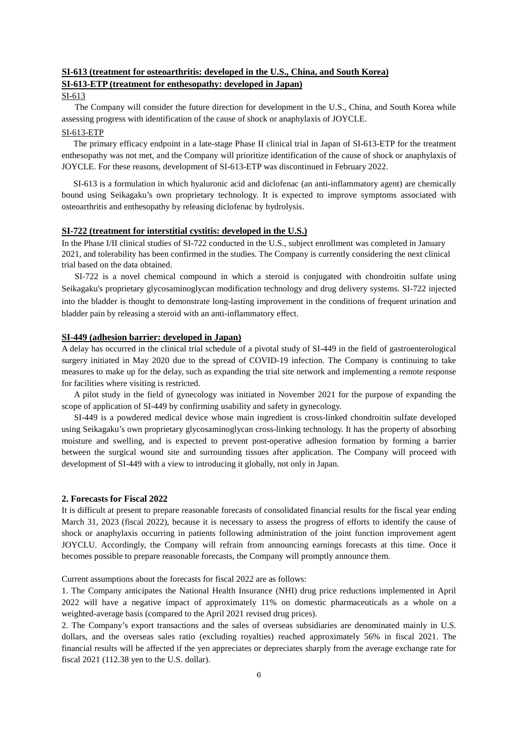# **SI-613 (treatment for osteoarthritis: developed in the U.S., China, and South Korea) SI-613-ETP (treatment for enthesopathy: developed in Japan)**

### SI-613

The Company will consider the future direction for development in the U.S., China, and South Korea while assessing progress with identification of the cause of shock or anaphylaxis of JOYCLE.

### SI-613-ETP

The primary efficacy endpoint in a late-stage Phase II clinical trial in Japan of SI-613-ETP for the treatment enthesopathy was not met, and the Company will prioritize identification of the cause of shock or anaphylaxis of JOYCLE. For these reasons, development of SI-613-ETP was discontinued in February 2022.

SI-613 is a formulation in which hyaluronic acid and diclofenac (an anti-inflammatory agent) are chemically bound using Seikagaku's own proprietary technology. It is expected to improve symptoms associated with osteoarthritis and enthesopathy by releasing diclofenac by hydrolysis.

# **SI-722 (treatment for interstitial cystitis: developed in the U.S.)**

In the Phase I/II clinical studies of SI-722 conducted in the U.S., subject enrollment was completed in January 2021, and tolerability has been confirmed in the studies. The Company is currently considering the next clinical trial based on the data obtained.

SI-722 is a novel chemical compound in which a steroid is conjugated with chondroitin sulfate using Seikagaku's proprietary glycosaminoglycan modification technology and drug delivery systems. SI-722 injected into the bladder is thought to demonstrate long-lasting improvement in the conditions of frequent urination and bladder pain by releasing a steroid with an anti-inflammatory effect.

# **SI-449 (adhesion barrier: developed in Japan)**

A delay has occurred in the clinical trial schedule of a pivotal study of SI-449 in the field of gastroenterological surgery initiated in May 2020 due to the spread of COVID-19 infection. The Company is continuing to take measures to make up for the delay, such as expanding the trial site network and implementing a remote response for facilities where visiting is restricted.

A pilot study in the field of gynecology was initiated in November 2021 for the purpose of expanding the scope of application of SI-449 by confirming usability and safety in gynecology.

SI-449 is a powdered medical device whose main ingredient is cross-linked chondroitin sulfate developed using Seikagaku's own proprietary glycosaminoglycan cross-linking technology. It has the property of absorbing moisture and swelling, and is expected to prevent post-operative adhesion formation by forming a barrier between the surgical wound site and surrounding tissues after application. The Company will proceed with development of SI-449 with a view to introducing it globally, not only in Japan.

## **2. Forecasts for Fiscal 2022**

It is difficult at present to prepare reasonable forecasts of consolidated financial results for the fiscal year ending March 31, 2023 (fiscal 2022), because it is necessary to assess the progress of efforts to identify the cause of shock or anaphylaxis occurring in patients following administration of the joint function improvement agent JOYCLU. Accordingly, the Company will refrain from announcing earnings forecasts at this time. Once it becomes possible to prepare reasonable forecasts, the Company will promptly announce them.

Current assumptions about the forecasts for fiscal 2022 are as follows:

1. The Company anticipates the National Health Insurance (NHI) drug price reductions implemented in April 2022 will have a negative impact of approximately 11% on domestic pharmaceuticals as a whole on a weighted-average basis (compared to the April 2021 revised drug prices).

2. The Company's export transactions and the sales of overseas subsidiaries are denominated mainly in U.S. dollars, and the overseas sales ratio (excluding royalties) reached approximately 56% in fiscal 2021. The financial results will be affected if the yen appreciates or depreciates sharply from the average exchange rate for fiscal 2021 (112.38 yen to the U.S. dollar).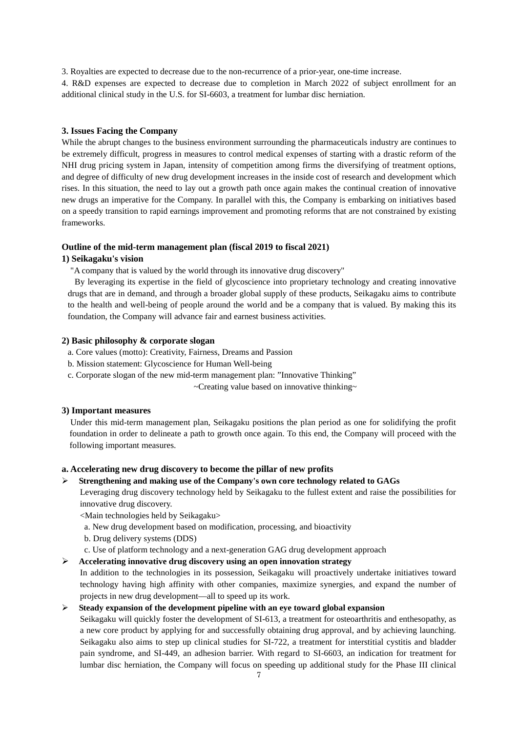3. Royalties are expected to decrease due to the non-recurrence of a prior-year, one-time increase.

4. R&D expenses are expected to decrease due to completion in March 2022 of subject enrollment for an additional clinical study in the U.S. for SI-6603, a treatment for lumbar disc herniation.

## **3. Issues Facing the Company**

While the abrupt changes to the business environment surrounding the pharmaceuticals industry are continues to be extremely difficult, progress in measures to control medical expenses of starting with a drastic reform of the NHI drug pricing system in Japan, intensity of competition among firms the diversifying of treatment options, and degree of difficulty of new drug development increases in the inside cost of research and development which rises. In this situation, the need to lay out a growth path once again makes the continual creation of innovative new drugs an imperative for the Company. In parallel with this, the Company is embarking on initiatives based on a speedy transition to rapid earnings improvement and promoting reforms that are not constrained by existing frameworks.

## **Outline of the mid-term management plan (fiscal 2019 to fiscal 2021)**

## **1) Seikagaku's vision**

"A company that is valued by the world through its innovative drug discovery"

By leveraging its expertise in the field of glycoscience into proprietary technology and creating innovative drugs that are in demand, and through a broader global supply of these products, Seikagaku aims to contribute to the health and well-being of people around the world and be a company that is valued. By making this its foundation, the Company will advance fair and earnest business activities.

## **2) Basic philosophy & corporate slogan**

- a. Core values (motto): Creativity, Fairness, Dreams and Passion
- b. Mission statement: Glycoscience for Human Well-being
- c. Corporate slogan of the new mid-term management plan: "Innovative Thinking"

~Creating value based on innovative thinking~

## **3) Important measures**

Under this mid-term management plan, Seikagaku positions the plan period as one for solidifying the profit foundation in order to delineate a path to growth once again. To this end, the Company will proceed with the following important measures.

## **a. Accelerating new drug discovery to become the pillar of new profits**

## **Strengthening and making use of the Company's own core technology related to GAGs**

Leveraging drug discovery technology held by Seikagaku to the fullest extent and raise the possibilities for innovative drug discovery.

<Main technologies held by Seikagaku>

- a. New drug development based on modification, processing, and bioactivity
- b. Drug delivery systems (DDS)
- c. Use of platform technology and a next-generation GAG drug development approach

## **Accelerating innovative drug discovery using an open innovation strategy**

In addition to the technologies in its possession, Seikagaku will proactively undertake initiatives toward technology having high affinity with other companies, maximize synergies, and expand the number of projects in new drug development—all to speed up its work.

# **Steady expansion of the development pipeline with an eye toward global expansion**

Seikagaku will quickly foster the development of SI-613, a treatment for osteoarthritis and enthesopathy, as a new core product by applying for and successfully obtaining drug approval, and by achieving launching. Seikagaku also aims to step up clinical studies for SI-722, a treatment for interstitial cystitis and bladder pain syndrome, and SI-449, an adhesion barrier. With regard to SI-6603, an indication for treatment for lumbar disc herniation, the Company will focus on speeding up additional study for the Phase III clinical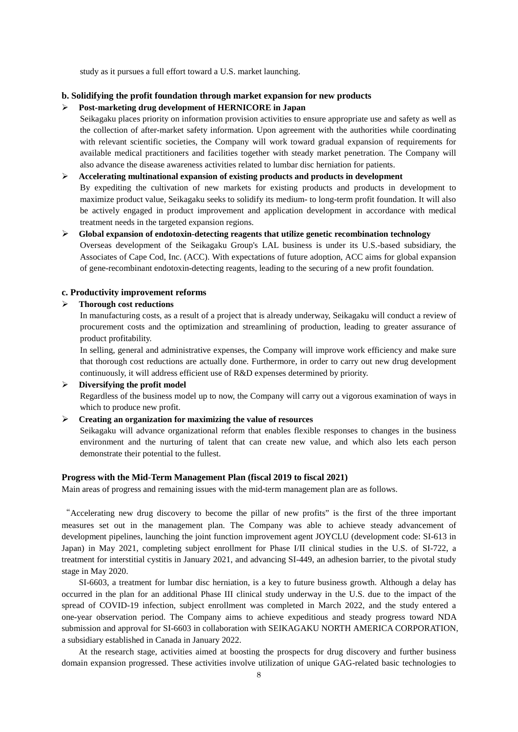study as it pursues a full effort toward a U.S. market launching.

# **b. Solidifying the profit foundation through market expansion for new products**

#### **Post-marketing drug development of HERNICORE in Japan**

Seikagaku places priority on information provision activities to ensure appropriate use and safety as well as the collection of after-market safety information. Upon agreement with the authorities while coordinating with relevant scientific societies, the Company will work toward gradual expansion of requirements for available medical practitioners and facilities together with steady market penetration. The Company will also advance the disease awareness activities related to lumbar disc herniation for patients.

#### **Accelerating multinational expansion of existing products and products in development**

By expediting the cultivation of new markets for existing products and products in development to maximize product value, Seikagaku seeks to solidify its medium- to long-term profit foundation. It will also be actively engaged in product improvement and application development in accordance with medical treatment needs in the targeted expansion regions.

# **Global expansion of endotoxin-detecting reagents that utilize genetic recombination technology**  Overseas development of the Seikagaku Group's LAL business is under its U.S.-based subsidiary, the Associates of Cape Cod, Inc. (ACC). With expectations of future adoption, ACC aims for global expansion of gene-recombinant endotoxin-detecting reagents, leading to the securing of a new profit foundation.

## **c. Productivity improvement reforms**

#### **Thorough cost reductions**

In manufacturing costs, as a result of a project that is already underway, Seikagaku will conduct a review of procurement costs and the optimization and streamlining of production, leading to greater assurance of product profitability.

In selling, general and administrative expenses, the Company will improve work efficiency and make sure that thorough cost reductions are actually done. Furthermore, in order to carry out new drug development continuously, it will address efficient use of R&D expenses determined by priority.

# **Diversifying the profit model**

Regardless of the business model up to now, the Company will carry out a vigorous examination of ways in which to produce new profit.

# **Creating an organization for maximizing the value of resources**

Seikagaku will advance organizational reform that enables flexible responses to changes in the business environment and the nurturing of talent that can create new value, and which also lets each person demonstrate their potential to the fullest.

# **Progress with the Mid-Term Management Plan (fiscal 2019 to fiscal 2021)**

Main areas of progress and remaining issues with the mid-term management plan are as follows.

"Accelerating new drug discovery to become the pillar of new profits" is the first of the three important measures set out in the management plan. The Company was able to achieve steady advancement of development pipelines, launching the joint function improvement agent JOYCLU (development code: SI-613 in Japan) in May 2021, completing subject enrollment for Phase I/II clinical studies in the U.S. of SI-722, a treatment for interstitial cystitis in January 2021, and advancing SI-449, an adhesion barrier, to the pivotal study stage in May 2020.

SI-6603, a treatment for lumbar disc herniation, is a key to future business growth. Although a delay has occurred in the plan for an additional Phase III clinical study underway in the U.S. due to the impact of the spread of COVID-19 infection, subject enrollment was completed in March 2022, and the study entered a one-year observation period. The Company aims to achieve expeditious and steady progress toward NDA submission and approval for SI-6603 in collaboration with SEIKAGAKU NORTH AMERICA CORPORATION, a subsidiary established in Canada in January 2022.

At the research stage, activities aimed at boosting the prospects for drug discovery and further business domain expansion progressed. These activities involve utilization of unique GAG-related basic technologies to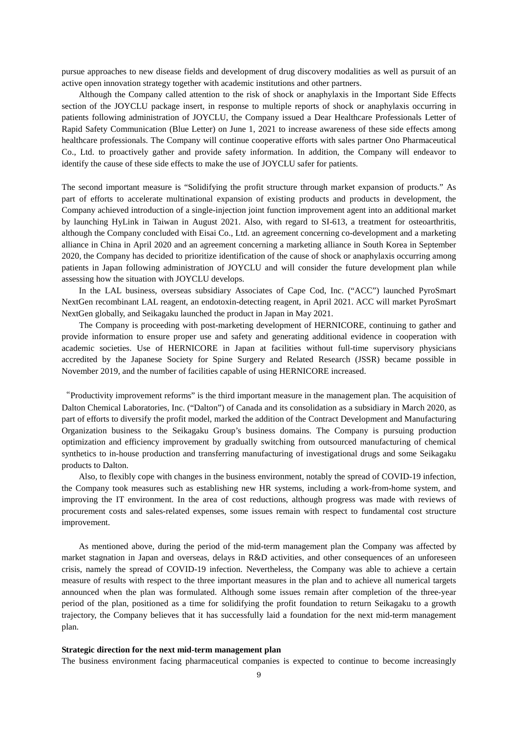pursue approaches to new disease fields and development of drug discovery modalities as well as pursuit of an active open innovation strategy together with academic institutions and other partners.

Although the Company called attention to the risk of shock or anaphylaxis in the Important Side Effects section of the JOYCLU package insert, in response to multiple reports of shock or anaphylaxis occurring in patients following administration of JOYCLU, the Company issued a Dear Healthcare Professionals Letter of Rapid Safety Communication (Blue Letter) on June 1, 2021 to increase awareness of these side effects among healthcare professionals. The Company will continue cooperative efforts with sales partner Ono Pharmaceutical Co., Ltd. to proactively gather and provide safety information. In addition, the Company will endeavor to identify the cause of these side effects to make the use of JOYCLU safer for patients.

The second important measure is "Solidifying the profit structure through market expansion of products." As part of efforts to accelerate multinational expansion of existing products and products in development, the Company achieved introduction of a single-injection joint function improvement agent into an additional market by launching HyLink in Taiwan in August 2021. Also, with regard to SI-613, a treatment for osteoarthritis, although the Company concluded with Eisai Co., Ltd. an agreement concerning co-development and a marketing alliance in China in April 2020 and an agreement concerning a marketing alliance in South Korea in September 2020, the Company has decided to prioritize identification of the cause of shock or anaphylaxis occurring among patients in Japan following administration of JOYCLU and will consider the future development plan while assessing how the situation with JOYCLU develops.

In the LAL business, overseas subsidiary Associates of Cape Cod, Inc. ("ACC") launched PyroSmart NextGen recombinant LAL reagent, an endotoxin-detecting reagent, in April 2021. ACC will market PyroSmart NextGen globally, and Seikagaku launched the product in Japan in May 2021.

The Company is proceeding with post-marketing development of HERNICORE, continuing to gather and provide information to ensure proper use and safety and generating additional evidence in cooperation with academic societies. Use of HERNICORE in Japan at facilities without full-time supervisory physicians accredited by the Japanese Society for Spine Surgery and Related Research (JSSR) became possible in November 2019, and the number of facilities capable of using HERNICORE increased.

"Productivity improvement reforms" is the third important measure in the management plan. The acquisition of Dalton Chemical Laboratories, Inc. ("Dalton") of Canada and its consolidation as a subsidiary in March 2020, as part of efforts to diversify the profit model, marked the addition of the Contract Development and Manufacturing Organization business to the Seikagaku Group's business domains. The Company is pursuing production optimization and efficiency improvement by gradually switching from outsourced manufacturing of chemical synthetics to in-house production and transferring manufacturing of investigational drugs and some Seikagaku products to Dalton.

Also, to flexibly cope with changes in the business environment, notably the spread of COVID-19 infection, the Company took measures such as establishing new HR systems, including a work-from-home system, and improving the IT environment. In the area of cost reductions, although progress was made with reviews of procurement costs and sales-related expenses, some issues remain with respect to fundamental cost structure improvement.

As mentioned above, during the period of the mid-term management plan the Company was affected by market stagnation in Japan and overseas, delays in R&D activities, and other consequences of an unforeseen crisis, namely the spread of COVID-19 infection. Nevertheless, the Company was able to achieve a certain measure of results with respect to the three important measures in the plan and to achieve all numerical targets announced when the plan was formulated. Although some issues remain after completion of the three-year period of the plan, positioned as a time for solidifying the profit foundation to return Seikagaku to a growth trajectory, the Company believes that it has successfully laid a foundation for the next mid-term management plan.

#### **Strategic direction for the next mid-term management plan**

The business environment facing pharmaceutical companies is expected to continue to become increasingly